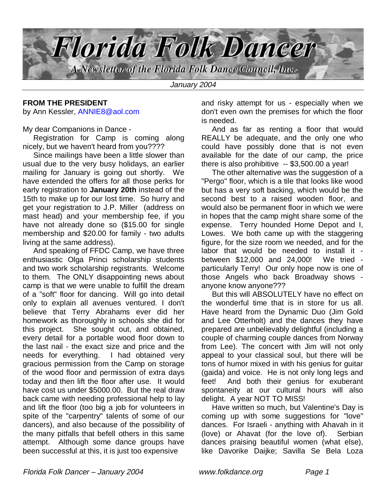

#### **FROM THE PRESIDENT** by Ann Kessler, ANNIE8@aol.com

My dear Companions in Dance -

 Registration for Camp is coming along nicely, but we haven't heard from you????

 Since mailings have been a little slower than usual due to the very busy holidays, an earlier mailing for January is going out shortly. We have extended the offers for all those perks for early registration to **January 20th** instead of the 15th to make up for our lost time. So hurry and get your registration to J.P. Miller (address on mast head) and your membership fee, if you have not already done so (\$15.00 for single membership and \$20.00 for family - two adults living at the same address).

 And speaking of FFDC Camp, we have three enthusiastic Olga Princi scholarship students and two work scholarship registrants. Welcome to them. The ONLY disappointing news about camp is that we were unable to fulfill the dream of a "soft" floor for dancing. Will go into detail only to explain all avenues ventured. I don't believe that Terry Abrahams ever did her homework as thoroughly in schools she did for this project. She sought out, and obtained, every detail for a portable wood floor down to the last nail - the exact size and price and the needs for everything. I had obtained very gracious permission from the Camp on storage of the wood floor and permission of extra days today and then lift the floor after use. It would have cost us under \$5000.00. But the real draw back came with needing professional help to lay and lift the floor (too big a job for volunteers in spite of the "carpentry" talents of some of our dancers), and also because of the possibility of the many pitfalls that befell others in this same attempt. Although some dance groups have been successful at this, it is just too expensive

and risky attempt for us - especially when we don't even own the premises for which the floor is needed.

 And as far as renting a floor that would REALLY be adequate, and the only one who could have possibly done that is not even available for the date of our camp, the price there is also prohibitive -- \$3,500.00 a year!

 The other alternative was the suggestion of a "Pergo" floor, which is a tile that looks like wood but has a very soft backing, which would be the second best to a raised wooden floor, and would also be permanent floor in which we were in hopes that the camp might share some of the expense. Terry hounded Home Depot and I, Lowes. We both came up with the staggering figure, for the size room we needed, and for the labor that would be needed to install it between \$12,000 and 24,000! We tried particularly Terry! Our only hope now is one of those Angels who back Broadway shows anyone know anyone???

 But this will ABSOLUTELY have no effect on the wonderful time that is in store for us all. Have heard from the Dynamic Duo (Jim Gold and Lee Otterholt) and the dances they have prepared are unbelievably delightful (including a couple of charming couple dances from Norway from Lee). The concert with Jim will not only appeal to your classical soul, but there will be tons of humor mixed in with his genius for guitar (gaida) and voice. He is not only long legs and feet! And both their genius for exuberant spontaneity at our cultural hours will also delight. A year NOT TO MISS!

 Have written so much, but Valentine's Day is coming up with some suggestions for "love" dances. For Israeli - anything with Ahavah in it (love) or Ahavat (for the love of). Serbian dances praising beautiful women (what else), like Davorike Daijke; Savilla Se Bela Loza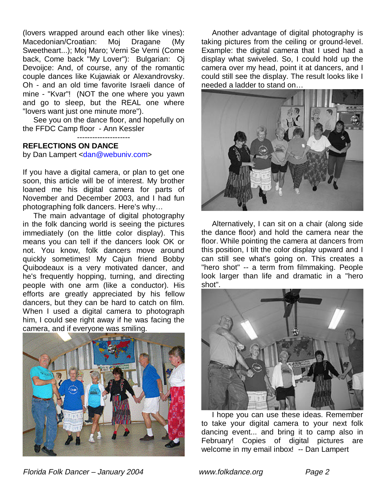(lovers wrapped around each other like vines): Macedonian/Croatian: Moj Dragane (My Sweetheart...); Moj Maro; Verni Se Verni (Come back, Come back "My Lover"): Bulgarian: Oj Devoijce: And, of course, any of the romantic couple dances like Kujawiak or Alexandrovsky. Oh - and an old time favorite Israeli dance of mine - "Kvar"! (NOT the one where you yawn and go to sleep, but the REAL one where "lovers want just one minute more").

 See you on the dance floor, and hopefully on the FFDC Camp floor - Ann Kessler

---------------------

#### **REFLECTIONS ON DANCE**

by Dan Lampert <dan@webuniv.com>

If you have a digital camera, or plan to get one soon, this article will be of interest. My brother loaned me his digital camera for parts of November and December 2003, and I had fun photographing folk dancers. Here's why…

 The main advantage of digital photography in the folk dancing world is seeing the pictures immediately (on the little color display). This means you can tell if the dancers look OK or not. You know, folk dancers move around quickly sometimes! My Cajun friend Bobby Quibodeaux is a very motivated dancer, and he's frequently hopping, turning, and directing people with one arm (like a conductor). His efforts are greatly appreciated by his fellow dancers, but they can be hard to catch on film. When I used a digital camera to photograph him, I could see right away if he was facing the camera, and if everyone was smiling.



 Another advantage of digital photography is taking pictures from the ceiling or ground-level. Example: the digital camera that I used had a display what swiveled. So, I could hold up the camera over my head, point it at dancers, and I could still see the display. The result looks like I needed a ladder to stand on…



 Alternatively, I can sit on a chair (along side the dance floor) and hold the camera near the floor. While pointing the camera at dancers from this position, I tilt the color display upward and I can still see what's going on. This creates a "hero shot" -- a term from filmmaking. People look larger than life and dramatic in a "hero shot".



 I hope you can use these ideas. Remember to take your digital camera to your next folk dancing event... and bring it to camp also in February! Copies of digital pictures are welcome in my email inbox! -- Dan Lampert

Florida Folk Dancer – January 2004 www.folkdance.org Page 2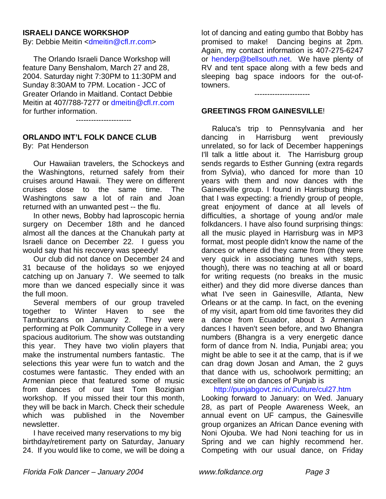## **ISRAELI DANCE WORKSHOP**

By: Debbie Meitin <dmeitin@cfl.rr.com>

 The Orlando Israeli Dance Workshop will feature Dany Benshalom, March 27 and 28, 2004. Saturday night 7:30PM to 11:30PM and Sunday 8:30AM to 7PM. Location - JCC of Greater Orlando in Maitland. Contact Debbie Meitin at 407/788-7277 or dmeitin@cfl.rr.com for further information.

----------------------

# **ORLANDO INT'L FOLK DANCE CLUB**

By: Pat Henderson

 Our Hawaiian travelers, the Schockeys and the Washingtons, returned safely from their cruises around Hawaii. They were on different cruises close to the same time. The Washingtons saw a lot of rain and Joan returned with an unwanted pest -- the flu.

 In other news, Bobby had laproscopic hernia surgery on December 18th and he danced almost all the dances at the Chanukah party at Israeli dance on December 22. I guess you would say that his recovery was speedy!

 Our club did not dance on December 24 and 31 because of the holidays so we enjoyed catching up on January 7. We seemed to talk more than we danced especially since it was the full moon.

 Several members of our group traveled together to Winter Haven to see the Tamburitzans on January 2. They were performing at Polk Community College in a very spacious auditorium. The show was outstanding this year. They have two violin players that make the instrumental numbers fantastic. The selections this year were fun to watch and the costumes were fantastic. They ended with an Armenian piece that featured some of music from dances of our last Tom Bozigian workshop. If you missed their tour this month, they will be back in March. Check their schedule which was published in the November newsletter.

 I have received many reservations to my big birthday/retirement party on Saturday, January 24. If you would like to come, we will be doing a lot of dancing and eating gumbo that Bobby has promised to make! Dancing begins at 2pm. Again, my contact information is 407-275-6247 or henderp@bellsouth.net. We have plenty of RV and tent space along with a few beds and sleeping bag space indoors for the out-oftowners.

----------------------

#### **GREETINGS FROM GAINESVILLE**!

 Raluca's trip to Pennsylvania and her dancing in Harrisburg went previously unrelated, so for lack of December happenings I'll talk a little about it. The Harrisburg group sends regards to Esther Gunning (extra regards from Sylvia), who danced for more than 10 years with them and now dances with the Gainesville group. I found in Harrisburg things that I was expecting: a friendly group of people, great enjoyment of dance at all levels of difficulties, a shortage of young and/or male folkdancers. I have also found surprising things: all the music played in Harrisburg was in MP3 format, most people didn't know the name of the dances or where did they came from (they were very quick in associating tunes with steps, though), there was no teaching at all or board for writing requests (no breaks in the music either) and they did more diverse dances than what I've seen in Gainesville, Atlanta, New Orleans or at the camp. In fact, on the evening of my visit, apart from old time favorites they did a dance from Ecuador, about 3 Armenian dances I haven't seen before, and two Bhangra numbers (Bhangra is a very energetic dance form of dance from N. India, Punjabi area; you might be able to see it at the camp, that is if we can drag down Josan and Aman, the 2 guys that dance with us, schoolwork permitting; an excellent site on dances of Punjab is

http://punjabgovt.nic.in/Culture/cul27.htm

Looking forward to January: on Wed. January 28, as part of People Awareness Week, an annual event on UF campus, the Gainesville group organizes an African Dance evening with Noni Ojouba. We had Noni teaching for us in Spring and we can highly recommend her. Competing with our usual dance, on Friday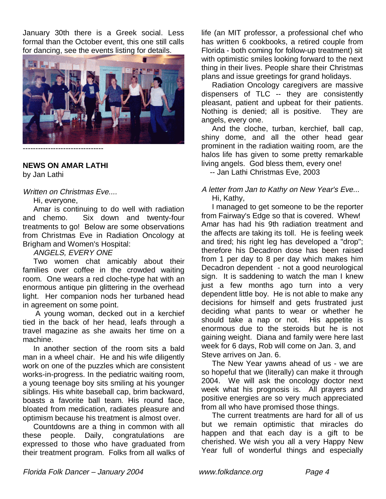January 30th there is a Greek social. Less formal than the October event, this one still calls for dancing, see the events listing for details.



**NEWS ON AMAR LATHI**

by Jan Lathi

Written on Christmas Eve....

Hi, everyone,

 Amar is continuing to do well with radiation and chemo. Six down and twenty-four treatments to go! Below are some observations from Christmas Eve in Radiation Oncology at Brigham and Women's Hospital:

## ANGELS, EVERY ONE

 Two women chat amicably about their families over coffee in the crowded waiting room. One wears a red cloche-type hat with an enormous antique pin glittering in the overhead light. Her companion nods her turbaned head in agreement on some point.

 A young woman, decked out in a kerchief tied in the back of her head, leafs through a travel magazine as she awaits her time on a machine.

 In another section of the room sits a bald man in a wheel chair. He and his wife diligently work on one of the puzzles which are consistent works-in-progress. In the pediatric waiting room, a young teenage boy sits smiling at his younger siblings. His white baseball cap, brim backward, boasts a favorite ball team. His round face, bloated from medication, radiates pleasure and optimism because his treatment is almost over.

 Countdowns are a thing in common with all these people. Daily, congratulations are expressed to those who have graduated from their treatment program. Folks from all walks of

life (an MIT professor, a professional chef who has written 6 cookbooks, a retired couple from Florida - both coming for follow-up treatment) sit with optimistic smiles looking forward to the next thing in their lives. People share their Christmas plans and issue greetings for grand holidays.

 Radiation Oncology caregivers are massive dispensers of TLC -- they are consistently pleasant, patient and upbeat for their patients. Nothing is denied; all is positive. They are angels, every one.

 And the cloche, turban, kerchief, ball cap, shiny dome, and all the other head gear prominent in the radiation waiting room, are the halos life has given to some pretty remarkable living angels. God bless them, every one!

-- Jan Lathi Christmas Eve, 2003

#### A letter from Jan to Kathy on New Year's Eve... Hi, Kathy,

 I managed to get someone to be the reporter from Fairway's Edge so that is covered. Whew! Amar has had his 9th radiation treatment and the affects are taking its toll. He is feeling week and tired; his right leg has developed a "drop"; therefore his Decadron dose has been raised from 1 per day to 8 per day which makes him Decadron dependent - not a good neurological sign. It is saddening to watch the man I knew just a few months ago turn into a very dependent little boy. He is not able to make any decisions for himself and gets frustrated just deciding what pants to wear or whether he should take a nap or not. His appetite is enormous due to the steroids but he is not gaining weight. Diana and family were here last week for 6 days, Rob will come on Jan. 3, and Steve arrives on Jan. 6.

 The New Year yawns ahead of us - we are so hopeful that we (literally) can make it through 2004. We will ask the oncology doctor next week what his prognosis is. All prayers and positive energies are so very much appreciated from all who have promised those things.

 The current treatments are hard for all of us but we remain optimistic that miracles do happen and that each day is a gift to be cherished. We wish you all a very Happy New Year full of wonderful things and especially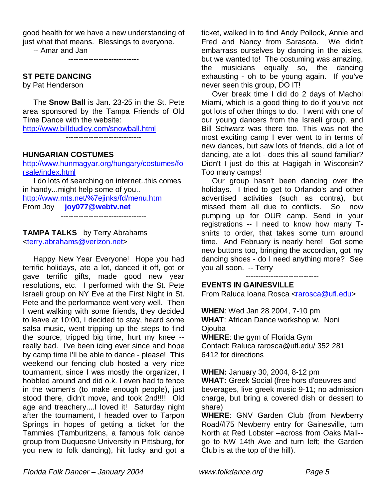good health for we have a new understanding of just what that means. Blessings to everyone. -- Amar and Jan

----------------------------

### **ST PETE DANCING**

by Pat Henderson

 The **Snow Ball** is Jan. 23-25 in the St. Pete area sponsored by the Tampa Friends of Old Time Dance with the website:

http://www.billdudley.com/snowball.html

------------------------------

### **HUNGARIAN COSTUMES**

http://www.hunmagyar.org/hungary/costumes/fo rsale/index.html

 I do lots of searching on internet..this comes in handy...might help some of you.. http://www.mts.net/%7ejinks/fd/menu.htm From Joy **joy077@webtv.net**

----------------------------------

#### **TAMPA TALKS** by Terry Abrahams <terry.abrahams@verizon.net>

 Happy New Year Everyone! Hope you had terrific holidays, ate a lot, danced it off, got or gave terrific gifts, made good new year resolutions, etc. I performed with the St. Pete Israeli group on NY Eve at the First Night in St. Pete and the performance went very well. Then I went walking with some friends, they decided to leave at 10:00, I decided to stay, heard some salsa music, went tripping up the steps to find the source, tripped big time, hurt my knee - really bad. I've been icing ever since and hope by camp time I'll be able to dance - please! This weekend our fencing club hosted a very nice tournament, since I was mostly the organizer, I hobbled around and did o.k. I even had to fence in the women's (to make enough people), just stood there, didn't move, and took 2nd!!!! Old age and treachery....I loved it! Saturday night after the tournament, I headed over to Tarpon Springs in hopes of getting a ticket for the Tammies (Tamburitzens, a famous folk dance group from Duquesne University in Pittsburg, for you new to folk dancing), hit lucky and got a ticket, walked in to find Andy Pollock, Annie and Fred and Nancy from Sarasota. We didn't embarrass ourselves by dancing in the aisles, but we wanted to! The costuming was amazing, the musicians equally so, the dancing exhausting - oh to be young again. If you've never seen this group, DO IT!

 Over break time I did do 2 days of Machol Miami, which is a good thing to do if you've not got lots of other things to do. I went with one of our young dancers from the Israeli group, and Bill Schwarz was there too. This was not the most exciting camp I ever went to in terms of new dances, but saw lots of friends, did a lot of dancing, ate a lot - does this all sound familiar? Didn't I just do this at Hagigah in Wisconsin? Too many camps!

 Our group hasn't been dancing over the holidays. I tried to get to Orlando's and other advertised activities (such as contra), but missed them all due to conflicts. So now pumping up for OUR camp. Send in your registrations -- I need to know how many Tshirts to order, that takes some turn around time. And February is nearly here! Got some new buttons too, bringing the accordian, got my dancing shoes - do I need anything more? See you all soon. -- Terry

-----------------------------

### **EVENTS IN GAINESVILLE**

From Raluca Ioana Rosca <rarosca@ufl.edu>

**WHEN**: Wed Jan 28 2004, 7-10 pm **WHAT**: African Dance workshop w. Noni **O**iouba **WHERE**: the gym of Florida Gym

Contact: Raluca rarosca@ufl.edu/ 352 281 6412 for directions

**WHEN:** January 30, 2004, 8-12 pm

**WHAT:** Greek Social (free hors d'oeuvres and beverages, live greek music 9-11; no admission charge, but bring a covered dish or dessert to share)

**WHERE**: GNV Garden Club (from Newberry Road//I75 Newberry entry for Gainesville, turn North at Red Lobster –across from Oaks Mall- go to NW 14th Ave and turn left; the Garden Club is at the top of the hill).